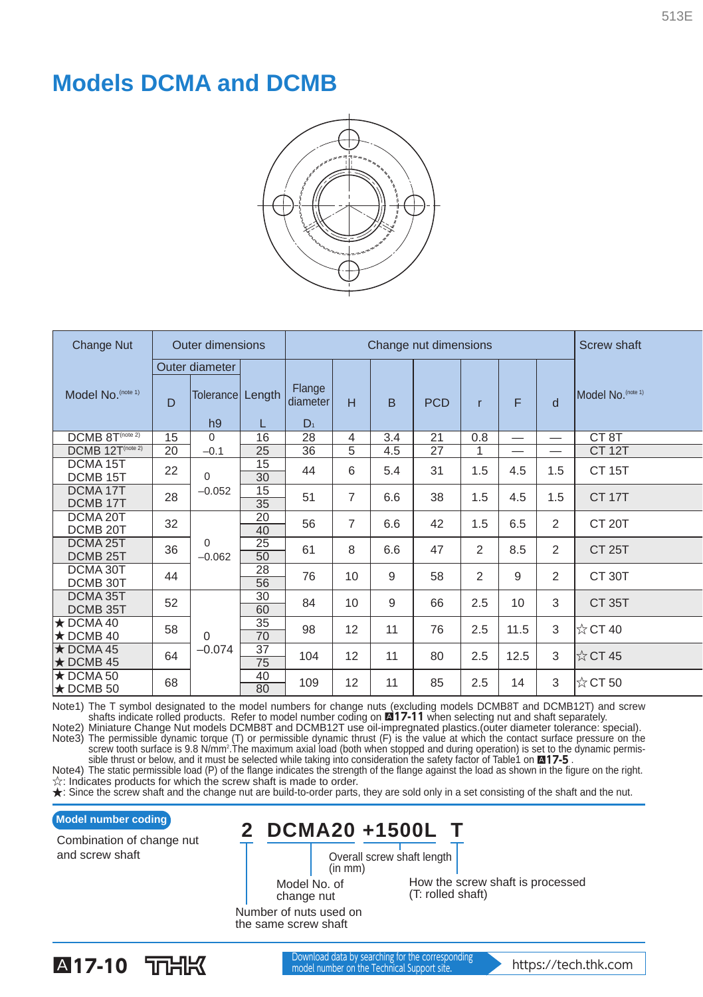## **Models DCMA and DCMB**



| <b>Change Nut</b>                            |    | <b>Outer dimensions</b>     |             |                             | Change nut dimensions | <b>Screw shaft</b> |            |                |      |                |                      |  |
|----------------------------------------------|----|-----------------------------|-------------|-----------------------------|-----------------------|--------------------|------------|----------------|------|----------------|----------------------|--|
|                                              |    | Outer diameter              |             |                             |                       |                    |            |                |      |                |                      |  |
| Model No. (note 1)                           | D  | Tolerance<br>h <sub>9</sub> | Length<br>L | Flange<br>diameter<br>$D_1$ | H                     | B                  | <b>PCD</b> | $\mathsf{r}$   | F    | d              | Model No. (note 1)   |  |
| $DCMB$ $8T^{(note 2)}$                       | 15 | 0                           | 16          | 28                          | $\overline{4}$        | 3.4                | 21         | 0.8            |      | —              | CT <sub>8</sub> T    |  |
| DCMB 12T(note 2)                             | 20 | $-0.1$                      | 25          | 36                          | 5                     | 4.5                | 27         | 1              | —    | --             | <b>CT 12T</b>        |  |
| DCMA <sub>15</sub> T<br>DCMB <sub>15</sub> T | 22 | $\Omega$<br>$-0.052$        | 15<br>30    | 44                          | 6                     | 5.4                | 31         | 1.5            | 4.5  | 1.5            | <b>CT 15T</b>        |  |
| DCMA <sub>17</sub> T<br>DCMB <sub>17</sub> T | 28 |                             | 15<br>35    | 51                          | $\overline{7}$        | 6.6                | 38         | 1.5            | 4.5  | 1.5            | <b>CT 17T</b>        |  |
| DCMA 20T<br>DCMB <sub>20</sub> T             | 32 | $\Omega$<br>$-0.062$        | 20<br>40    | 56                          | $\overline{7}$        | 6.6                | 42         | 1.5            | 6.5  | $\overline{2}$ | CT <sub>20</sub> T   |  |
| DCMA 25T<br>DCMB <sub>25</sub> T             | 36 |                             | 25<br>50    | 61                          | 8                     | 6.6                | 47         | $\overline{2}$ | 8.5  | 2              | <b>CT 25T</b>        |  |
| DCMA 30T<br>DCMB 30T                         | 44 |                             | 28<br>56    | 76                          | 10                    | 9                  | 58         | $\overline{2}$ | 9    | $\overline{2}$ | CT 30T               |  |
| DCMA 35T<br>DCMB 35T                         | 52 | $\Omega$<br>$-0.074$        | 30<br>60    | 84                          | 10                    | 9                  | 66         | 2.5            | 10   | 3              | <b>CT 35T</b>        |  |
| $\star$ DCMA 40<br>$\star$ DCMB 40           | 58 |                             | 35<br>70    | 98                          | 12                    | 11                 | 76         | 2.5            | 11.5 | 3              | $\frac{1}{32}$ CT 40 |  |
| $\star$ DCMA 45<br>$\star$ DCMB 45           | 64 |                             | 37<br>75    | 104                         | 12                    | 11                 | 80         | 2.5            | 12.5 | 3              | $\frac{1}{32}$ CT 45 |  |
| $\star$ DCMA 50<br>$\star$ DCMB 50           | 68 |                             | 40<br>80    | 109                         | 12                    | 11                 | 85         | 2.5            | 14   | 3              | $\frac{1}{50}$ CT 50 |  |

Note1) The T symbol designated to the model numbers for change nuts (excluding models DCMB8T and DCMB12T) and screw<br>shafts indicate rolled products. Refer to model number coding on **M17-11** when selecting nut and shaft sep

Note2) Miniature Change Nut models DCMB8T and DCMB12T use oil-impregnated plastics.(outer diameter tolerance: special).<br>Note3) The permissible dynamic torque (T) or permissible dynamic thrust (F) is the value at which the

☆: Indicates products for which the screw shaft is made to order.

★: Since the screw shaft and the change nut are build-to-order parts, they are sold only in a set consisting of the shaft and the nut.

Combination of change nut and screw shaft

Model number coding<br> **2 DCMA20 +1500L T** 

Overall screw shaft length (in mm)

Model No. of change nut

How the screw shaft is processed (T: rolled shaft)

Number of nuts used on the same screw shaft

513E

**A17-10** Download data by searching for the corresponding the corresponding to https://tech.thk.com